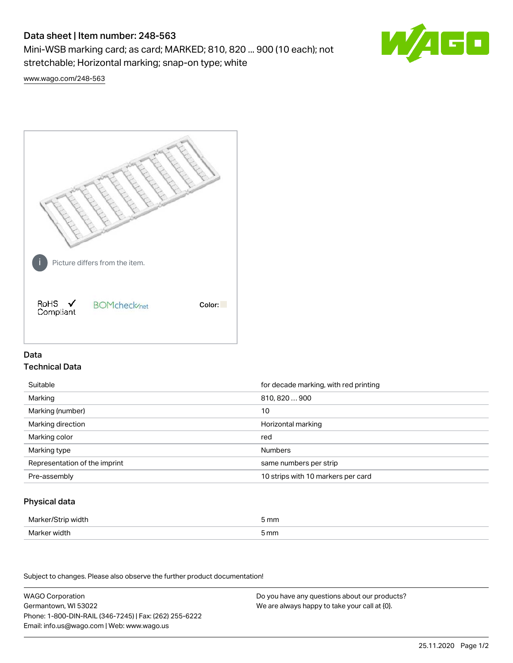# Data sheet | Item number: 248-563

Mini-WSB marking card; as card; MARKED; 810, 820 ... 900 (10 each); not stretchable; Horizontal marking; snap-on type; white



[www.wago.com/248-563](http://www.wago.com/248-563)



## Data Technical Data

| Suitable                      | for decade marking, with red printing |
|-------------------------------|---------------------------------------|
| Marking                       | 810, 820  900                         |
| Marking (number)              | 10                                    |
| Marking direction             | Horizontal marking                    |
| Marking color                 | red                                   |
| Marking type                  | <b>Numbers</b>                        |
| Representation of the imprint | same numbers per strip                |
| Pre-assembly                  | 10 strips with 10 markers per card    |

### Physical data

| Marker/Strip width | 5 mm |
|--------------------|------|
| Marker width       | 5 mm |

Subject to changes. Please also observe the further product documentation!

WAGO Corporation Germantown, WI 53022 Phone: 1-800-DIN-RAIL (346-7245) | Fax: (262) 255-6222 Email: info.us@wago.com | Web: www.wago.us Do you have any questions about our products? We are always happy to take your call at {0}.

25.11.2020 Page 1/2